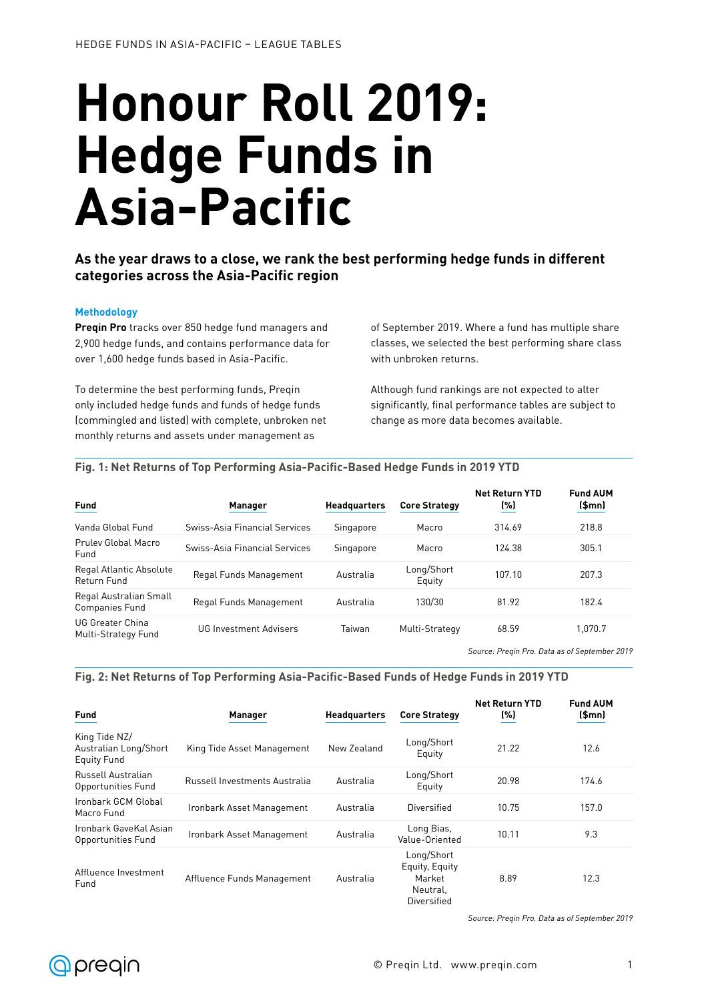# **Honour Roll 2019: Hedge Funds in Asia-Pacific**

## **As the year draws to a close, we rank the best performing hedge funds in different categories across the Asia-Pacific region**

#### **Methodology**

**Preqin Pro** tracks over 850 hedge fund managers and 2,900 hedge funds, and contains performance data for over 1,600 hedge funds based in Asia-Pacific.

To determine the best performing funds, Preqin only included hedge funds and funds of hedge funds (commingled and listed) with complete, unbroken net monthly returns and assets under management as

of September 2019. Where a fund has multiple share classes, we selected the best performing share class with unbroken returns.

Although fund rankings are not expected to alter significantly, final performance tables are subject to change as more data becomes available.

| <u>I IY. I. NGC KGULID VE TUP EG IVENING ASIAT AGNIGTUASGU HGUYG EUNUS IN ZV EZ E D</u> |                               |                     |                      |                              |                          |  |
|-----------------------------------------------------------------------------------------|-------------------------------|---------------------|----------------------|------------------------------|--------------------------|--|
| <b>Fund</b>                                                                             | <b>Manager</b>                | <b>Headquarters</b> | <b>Core Strategy</b> | <b>Net Return YTD</b><br>(%) | <b>Fund AUM</b><br>(Smn) |  |
| Vanda Global Fund                                                                       | Swiss-Asia Financial Services | Singapore           | Macro                | 314.69                       | 218.8                    |  |
| Prulev Global Macro<br>Fund                                                             | Swiss-Asia Financial Services | Singapore           | Macro                | 124.38                       | 305.1                    |  |
| Regal Atlantic Absolute<br>Return Fund                                                  | Regal Funds Management        | Australia           | Long/Short<br>Equity | 107.10                       | 207.3                    |  |
| Regal Australian Small<br>Companies Fund                                                | Regal Funds Management        | Australia           | 130/30               | 81.92                        | 182.4                    |  |
| UG Greater China<br>Multi-Strategy Fund                                                 | <b>UG Investment Advisers</b> | Taiwan              | Multi-Strategy       | 68.59                        | 1.070.7                  |  |

# **Fig. 1: Net Returns of Top Performing Asia-Pacific-Based Hedge Funds in 2019 YTD**

*Source: Preqin Pro. Data as of September 2019*

#### **Fig. 2: Net Returns of Top Performing Asia-Pacific-Based Funds of Hedge Funds in 2019 YTD**

| <b>Fund</b>                                                  | <b>Manager</b>                | <b>Headquarters</b> | <b>Core Strategy</b>                                              | <b>Net Return YTD</b><br>(%) | <b>Fund AUM</b><br>\$mn] |
|--------------------------------------------------------------|-------------------------------|---------------------|-------------------------------------------------------------------|------------------------------|--------------------------|
| King Tide NZ/<br>Australian Long/Short<br><b>Equity Fund</b> | King Tide Asset Management    | New Zealand         | Long/Short<br>Equity                                              | 21.22                        | 12.6                     |
| Russell Australian<br>Opportunities Fund                     | Russell Investments Australia | Australia           | Long/Short<br>Equity                                              | 20.98                        | 174.6                    |
| Ironbark GCM Global<br>Macro Fund                            | Ironbark Asset Management     | Australia           | Diversified                                                       | 10.75                        | 157.0                    |
| Ironbark GaveKal Asian<br>Opportunities Fund                 | Ironbark Asset Management     | Australia           | Long Bias,<br>Value-Oriented                                      | 10.11                        | 9.3                      |
| Affluence Investment<br>Fund                                 | Affluence Funds Management    | Australia           | Long/Short<br>Equity, Equity<br>Market<br>Neutral,<br>Diversified | 8.89                         | 12.3                     |

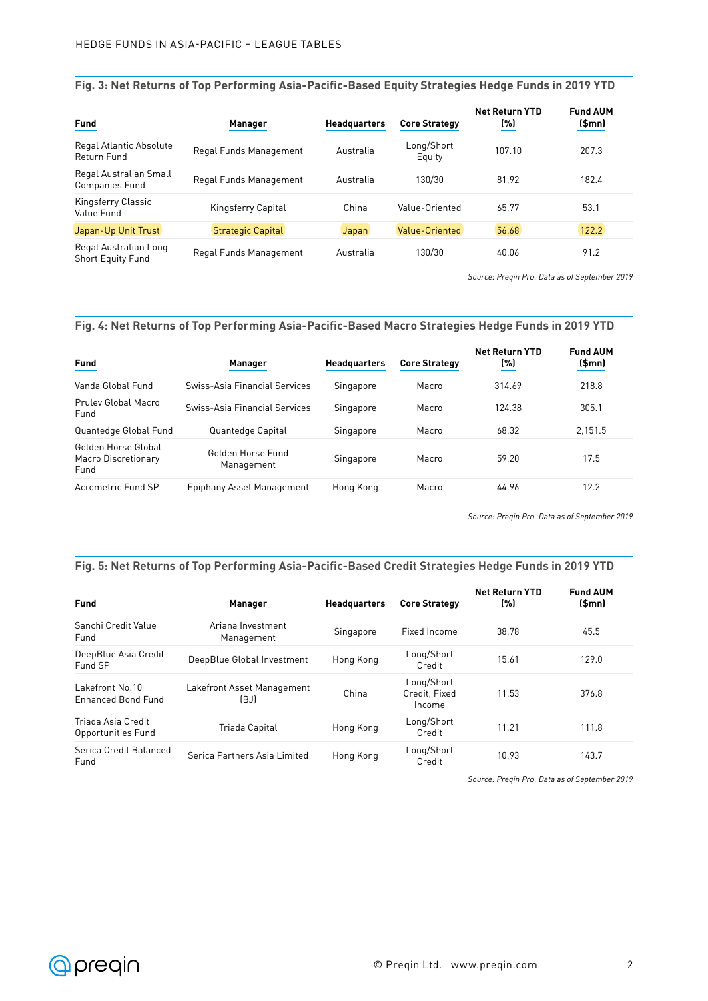## **Fig. 3: Net Returns of Top Performing Asia-Pacific-Based Equity Strategies Hedge Funds in 2019 YTD**

| <b>Fund</b>                                       | <b>Manager</b>           | <b>Headquarters</b> | <b>Core Strategy</b> | <b>Net Return YTD</b><br>(%) | <b>Fund AUM</b><br>\$mn] |
|---------------------------------------------------|--------------------------|---------------------|----------------------|------------------------------|--------------------------|
| Regal Atlantic Absolute<br>Return Fund            | Regal Funds Management   | Australia           | Long/Short<br>Equity | 107.10                       | 207.3                    |
| Regal Australian Small<br><b>Companies Fund</b>   | Regal Funds Management   | Australia           | 130/30               | 81.92                        | 182.4                    |
| Kingsferry Classic<br>Value Fund I                | Kingsferry Capital       | China               | Value-Oriented       | 65.77                        | 53.1                     |
| Japan-Up Unit Trust                               | <b>Strategic Capital</b> | <b>Japan</b>        | Value-Oriented       | 56.68                        | 122.2                    |
| Regal Australian Long<br><b>Short Equity Fund</b> | Regal Funds Management   | Australia           | 130/30               | 40.06                        | 91.2                     |

*Source: Preqin Pro. Data as of September 2019*

## **Fig. 4: Net Returns of Top Performing Asia-Pacific-Based Macro Strategies Hedge Funds in 2019 YTD**

| <b>Fund</b>                                        | <b>Manager</b>                  | <b>Headquarters</b> | <b>Core Strategy</b> | <b>Net Return YTD</b><br>(%) | <b>Fund AUM</b><br>\$mn] |
|----------------------------------------------------|---------------------------------|---------------------|----------------------|------------------------------|--------------------------|
| Vanda Global Fund                                  | Swiss-Asia Financial Services   | Singapore           | Macro                | 314.69                       | 218.8                    |
| Pruley Global Macro<br>Fund                        | Swiss-Asia Financial Services   | Singapore           | Macro                | 124 38                       | 305.1                    |
| Quantedge Global Fund                              | Quantedge Capital               | Singapore           | Macro                | 68.32                        | 2.151.5                  |
| Golden Horse Global<br>Macro Discretionary<br>Fund | Golden Horse Fund<br>Management | Singapore           | Macro                | 59.20                        | 17.5                     |
| Acrometric Fund SP                                 | Epiphany Asset Management       | Hong Kong           | Macro                | 44.96                        | 12.2                     |

*Source: Preqin Pro. Data as of September 2019*

#### **Fig. 5: Net Returns of Top Performing Asia-Pacific-Based Credit Strategies Hedge Funds in 2019 YTD**

| <b>Fund</b>                                  | <b>Manager</b>                     | <b>Headquarters</b> | <b>Core Strategy</b>                  | <b>Net Return YTD</b><br>(%) | <b>Fund AUM</b><br>\$mn] |
|----------------------------------------------|------------------------------------|---------------------|---------------------------------------|------------------------------|--------------------------|
| Sanchi Credit Value<br>Fund                  | Ariana Investment<br>Management    | Singapore           | Fixed Income                          | 38.78                        | 45.5                     |
| DeepBlue Asia Credit<br>Fund SP              | DeepBlue Global Investment         | Hong Kong           | Long/Short<br>Credit                  | 15.61                        | 129.0                    |
| Lakefront No.10<br><b>Enhanced Bond Fund</b> | Lakefront Asset Management<br>(BJ) | China               | Long/Short<br>Credit, Fixed<br>Income | 11.53                        | 376.8                    |
| Triada Asia Credit<br>Opportunities Fund     | Triada Capital                     | Hong Kong           | Long/Short<br>Credit                  | 11.21                        | 111.8                    |
| Serica Credit Balanced<br>Fund               | Serica Partners Asia Limited       | Hong Kong           | Long/Short<br>Credit                  | 10.93                        | 143.7                    |

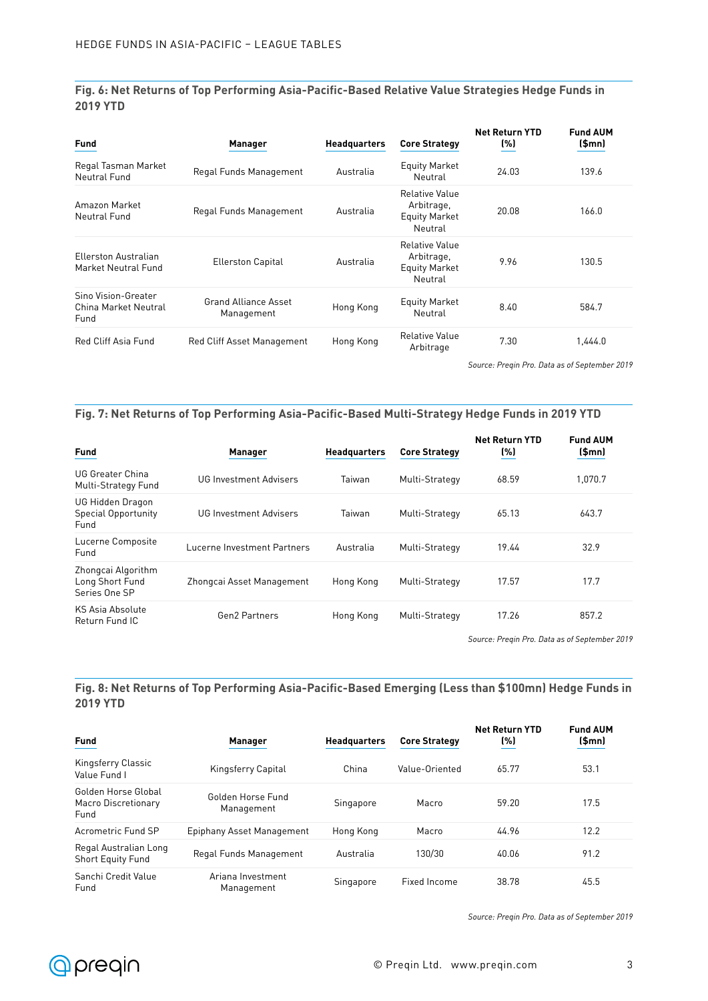**Fig. 6: Net Returns of Top Performing Asia-Pacific-Based Relative Value Strategies Hedge Funds in 2019 YTD**

| <b>Fund</b>                                         | <b>Manager</b>                            | <b>Headquarters</b> | <b>Core Strategy</b>                                                   | <b>Net Return YTD</b><br>(%) | <b>Fund AUM</b><br>\$mn] |
|-----------------------------------------------------|-------------------------------------------|---------------------|------------------------------------------------------------------------|------------------------------|--------------------------|
| Regal Tasman Market<br>Neutral Fund                 | Regal Funds Management                    | Australia           | <b>Equity Market</b><br>Neutral                                        | 24.03                        | 139.6                    |
| Amazon Market<br>Neutral Fund                       | Regal Funds Management                    | Australia           | Relative Value<br>Arbitrage,<br>Equity Market<br>Neutral               | 20.08                        | 166.0                    |
| Ellerston Australian<br>Market Neutral Fund         | <b>Ellerston Capital</b>                  | Australia           | <b>Relative Value</b><br>Arbitrage,<br><b>Equity Market</b><br>Neutral | 9.96                         | 130.5                    |
| Sino Vision-Greater<br>China Market Neutral<br>Fund | <b>Grand Alliance Asset</b><br>Management | Hong Kong           | <b>Equity Market</b><br>Neutral                                        | 8.40                         | 584.7                    |
| Red Cliff Asia Fund                                 | Red Cliff Asset Management                | Hong Kong           | Relative Value<br>Arbitrage                                            | 7.30                         | 1,444.0                  |

*Source: Preqin Pro. Data as of September 2019*

## **Fig. 7: Net Returns of Top Performing Asia-Pacific-Based Multi-Strategy Hedge Funds in 2019 YTD**

| <b>Fund</b>                                            | <b>Manager</b>                | <b>Headquarters</b> | <b>Core Strategy</b> | <b>Net Return YTD</b><br>(%) | <b>Fund AUM</b><br>\$mn] |
|--------------------------------------------------------|-------------------------------|---------------------|----------------------|------------------------------|--------------------------|
| UG Greater China<br>Multi-Strategy Fund                | <b>UG Investment Advisers</b> | Taiwan              | Multi-Strategy       | 68.59                        | 1.070.7                  |
| UG Hidden Dragon<br><b>Special Opportunity</b><br>Fund | UG Investment Advisers        | Taiwan              | Multi-Strategy       | 65.13                        | 643.7                    |
| Lucerne Composite<br>Fund                              | Lucerne Investment Partners   | Australia           | Multi-Strategy       | 19.44                        | 32.9                     |
| Zhongcai Algorithm<br>Long Short Fund<br>Series One SP | Zhongcai Asset Management     | Hong Kong           | Multi-Strategy       | 17.57                        | 17.7                     |
| KS Asia Absolute<br>Return Fund IC                     | Gen2 Partners                 | Hong Kong           | Multi-Strategy       | 17.26                        | 857.2                    |

*Source: Preqin Pro. Data as of September 2019*

#### **Fig. 8: Net Returns of Top Performing Asia-Pacific-Based Emerging (Less than \$100mn) Hedge Funds in 2019 YTD**

| <b>Fund</b>                                               | <b>Manager</b>                  | <b>Headquarters</b> | <b>Core Strategy</b> | <b>Net Return YTD</b><br>(%) | <b>Fund AUM</b><br>\$mn] |
|-----------------------------------------------------------|---------------------------------|---------------------|----------------------|------------------------------|--------------------------|
| Kingsferry Classic<br>Value Fund I                        | Kingsferry Capital              | China               | Value-Oriented       | 65.77                        | 53.1                     |
| Golden Horse Global<br><b>Macro Discretionary</b><br>Fund | Golden Horse Fund<br>Management | Singapore           | Macro                | 59.20                        | 17.5                     |
| Acrometric Fund SP                                        | Epiphany Asset Management       | Hong Kong           | Macro                | 44.96                        | 12.2                     |
| Regal Australian Long<br><b>Short Equity Fund</b>         | Regal Funds Management          | Australia           | 130/30               | 40.06                        | 91.2                     |
| Sanchi Credit Value<br>Fund                               | Ariana Investment<br>Management | Singapore           | Fixed Income         | 38.78                        | 45.5                     |